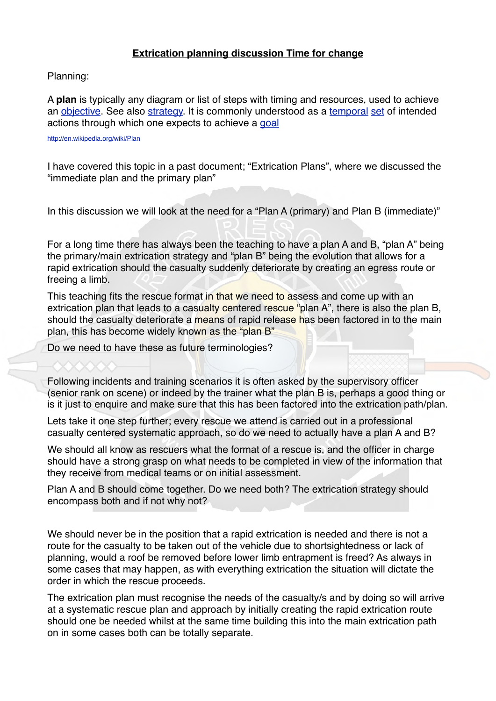## **Extrication planning discussion Time for change**

Planning:

A **plan** is typically any diagram or list of steps with timing and resources, used to achieve an [objective.](http://en.wikipedia.org/wiki/Objective_(goal)) See also [strategy](http://en.wikipedia.org/wiki/Strategy). It is commonly understood as a [temporal](http://en.wikipedia.org/wiki/Modal_logic) [set](http://en.wikipedia.org/wiki/Set) of intended actions through which one expects to achieve a [goal](http://en.wikipedia.org/wiki/Goal)

<http://en.wikipedia.org/wiki/Plan>

I have covered this topic in a past document; "Extrication Plans", where we discussed the "immediate plan and the primary plan"

In this discussion we will look at the need for a "Plan A (primary) and Plan B (immediate)"

For a long time there has always been the teaching to have a plan A and B, "plan A" being the primary/main extrication strategy and "plan B" being the evolution that allows for a rapid extrication should the casualty suddenly deteriorate by creating an egress route or freeing a limb.

This teaching fits the rescue format in that we need to assess and come up with an extrication plan that leads to a casualty centered rescue "plan A", there is also the plan B, should the casualty deteriorate a means of rapid release has been factored in to the main plan, this has become widely known as the "plan B"

Do we need to have these as future terminologies?

Following incidents and training scenarios it is often asked by the supervisory officer (senior rank on scene) or indeed by the trainer what the plan B is, perhaps a good thing or is it just to enquire and make sure that this has been factored into the extrication path/plan.

Lets take it one step further; every rescue we attend is carried out in a professional casualty centered systematic approach, so do we need to actually have a plan A and B?

We should all know as rescuers what the format of a rescue is, and the officer in charge should have a strong grasp on what needs to be completed in view of the information that they receive from medical teams or on initial assessment.

Plan A and B should come together. Do we need both? The extrication strategy should encompass both and if not why not?

We should never be in the position that a rapid extrication is needed and there is not a route for the casualty to be taken out of the vehicle due to shortsightedness or lack of planning, would a roof be removed before lower limb entrapment is freed? As always in some cases that may happen, as with everything extrication the situation will dictate the order in which the rescue proceeds.

The extrication plan must recognise the needs of the casualty/s and by doing so will arrive at a systematic rescue plan and approach by initially creating the rapid extrication route should one be needed whilst at the same time building this into the main extrication path on in some cases both can be totally separate.